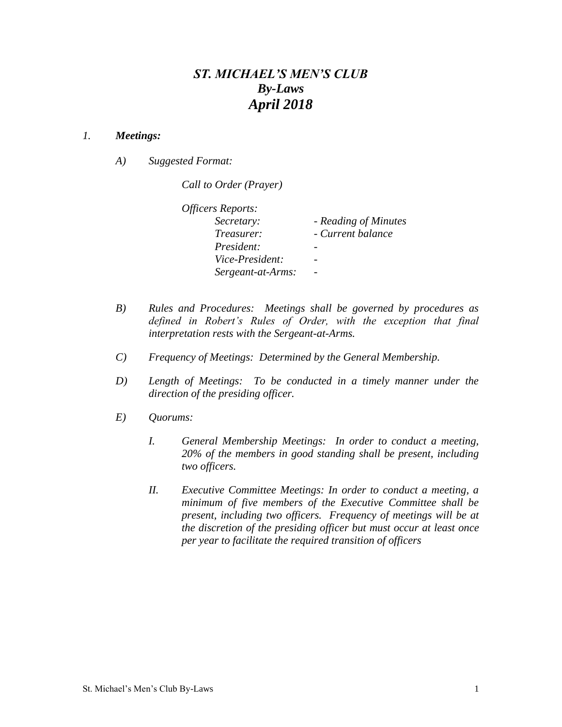## *ST. MICHAEL'S MEN'S CLUB By-Laws April 2018*

## *1. Meetings:*

*A) Suggested Format:* 

*Call to Order (Prayer)*

| Officers Reports: |                      |
|-------------------|----------------------|
| Secretary:        | - Reading of Minutes |
| Treasurer:        | - Current balance    |
| President:        |                      |
| Vice-President:   |                      |
| Sergeant-at-Arms: |                      |
|                   |                      |

- *B) Rules and Procedures: Meetings shall be governed by procedures as defined in Robert's Rules of Order, with the exception that final interpretation rests with the Sergeant-at-Arms.*
- *C) Frequency of Meetings: Determined by the General Membership.*
- *D) Length of Meetings: To be conducted in a timely manner under the direction of the presiding officer.*
- *E) Quorums:* 
	- *I. General Membership Meetings: In order to conduct a meeting, 20% of the members in good standing shall be present, including two officers.*
	- *II. Executive Committee Meetings: In order to conduct a meeting, a minimum of five members of the Executive Committee shall be present, including two officers. Frequency of meetings will be at the discretion of the presiding officer but must occur at least once per year to facilitate the required transition of officers*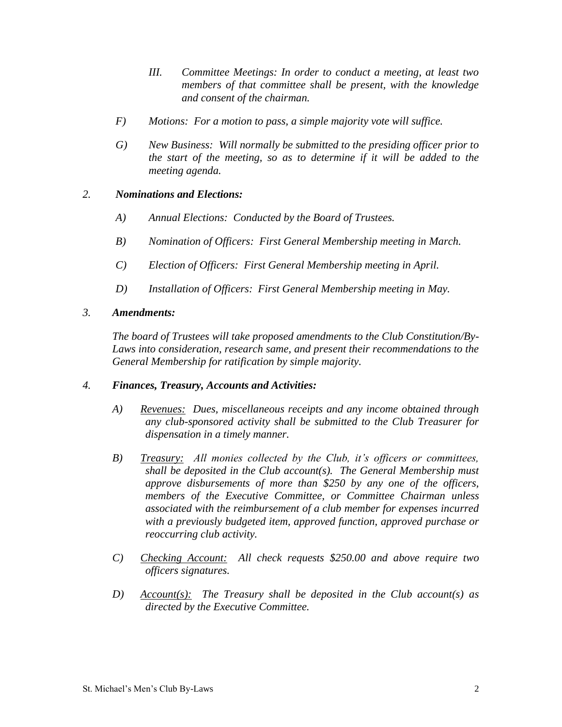- *III. Committee Meetings: In order to conduct a meeting, at least two members of that committee shall be present, with the knowledge and consent of the chairman.*
- *F) Motions: For a motion to pass, a simple majority vote will suffice.*
- *G) New Business: Will normally be submitted to the presiding officer prior to the start of the meeting, so as to determine if it will be added to the meeting agenda.*

## *2. Nominations and Elections:*

- *A) Annual Elections: Conducted by the Board of Trustees.*
- *B) Nomination of Officers: First General Membership meeting in March.*
- *C) Election of Officers: First General Membership meeting in April.*
- *D) Installation of Officers: First General Membership meeting in May.*
- *3. Amendments:*

*The board of Trustees will take proposed amendments to the Club Constitution/By-Laws into consideration, research same, and present their recommendations to the General Membership for ratification by simple majority.*

## *4. Finances, Treasury, Accounts and Activities:*

- *A) Revenues: Dues, miscellaneous receipts and any income obtained through any club-sponsored activity shall be submitted to the Club Treasurer for dispensation in a timely manner.*
- *B) Treasury: All monies collected by the Club, it's officers or committees, shall be deposited in the Club account(s). The General Membership must approve disbursements of more than \$250 by any one of the officers, members of the Executive Committee, or Committee Chairman unless associated with the reimbursement of a club member for expenses incurred with a previously budgeted item, approved function, approved purchase or reoccurring club activity.*
- *C) Checking Account: All check requests \$250.00 and above require two officers signatures.*
- *D) Account(s): The Treasury shall be deposited in the Club account(s) as directed by the Executive Committee.*